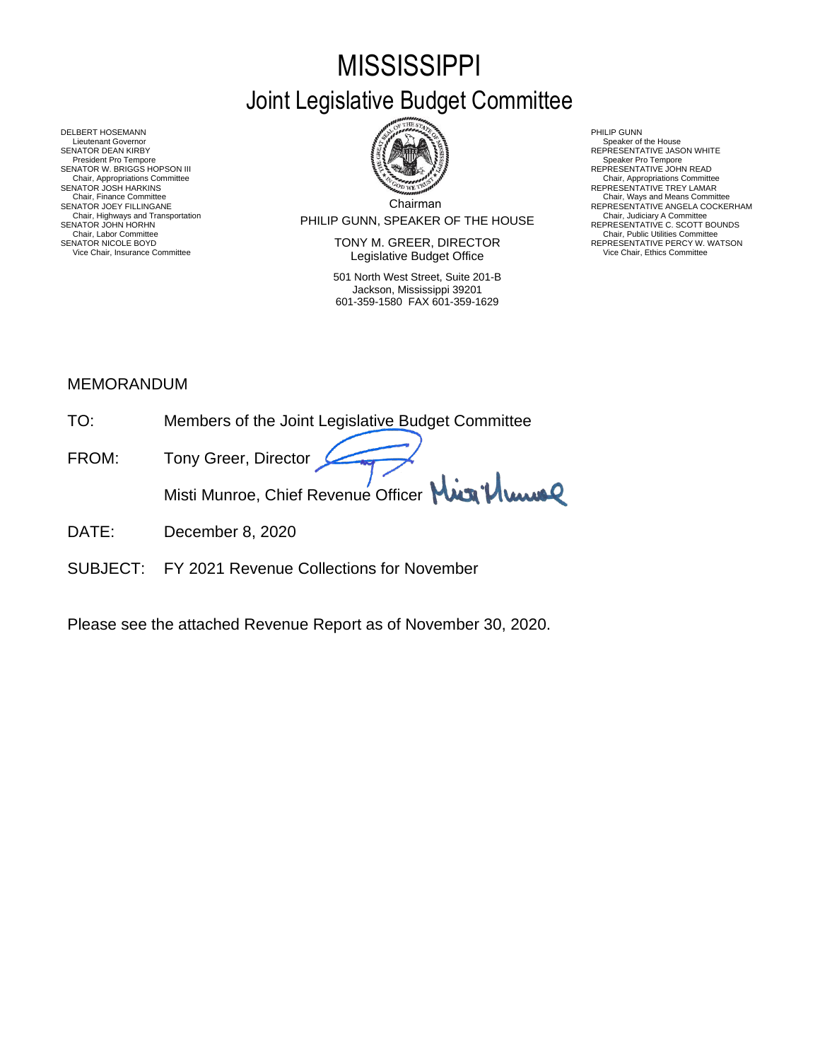# **MISSISSIPPI** Joint Legislative Budget Committee



PHILIP GUNN, SPEAKER OF THE HOUSE Chair, Highways and Transportation Chair, Judiciary A Committee SENATOR JOHN HORHN REPRESENTATIVE C. SCOTT BOUNDS

SENATOR NICOLE BOYD **EXECUTOR SENATOR SENATOR SENATOR SEPRESENTATIVE PERCY W. WATSON** Vice Chair, Insurance Committee **Legislative Budget Office** Mair Chair, Ethics Committee Vice Chair, Ethics Committee **Vice Chair** 

> 501 North West Street, Suite 201-B Jackson, Mississippi 39201 601-359-1580 FAX 601-359-1629

- 
- 
- Chair, Appropriations Committee<br>REPRESENTATIVE TREY LAMAR
- Chair, Ways and Means Committee<br>
REPRESENTATIVE ANGELA COCKE
	- REPRESENTATIVE ANGELA COCKERHAM<br>Chair, Judiciary A Committee<br>REPERESENTATIVE C. SCOTT BOUNDS<br>Chair, Public Utilities Committee

DELBERT HOSEMANN PHILIP GUNN<br>Lieutenant Governor Speaker of Speaker of Speaker of Speaker of Speaker of Speaker of Speaker of Speaker of Speaker of Lieutenant Governor Speaker of the House ( SENATOR DEAN KIRBY GERATOR DEAN KIRBY AND REPRESENTATIVE JASON WHITE<br>President Pro Tempore Speaker Pro Tempore Speaker Pro Tempore SENATOR W. BRIGGS HOPSON III READ AND READ AND REPRESENTATIVE JOHN READ Chair, Appropriations Committee<br>SENATOR JOSH HARKINS<br>Chair, Finance Committee SENATOR JOEY FILLINGANE Chair, Labor Chair, Labor Chair, Labor Chair, Labor Chair, Labor Chair, Labor Chair, Labor Chair, Labor Chair, Labor Chair, Labor Chair, Labor Chair, Labor Chair, Labor Chair, Labor Chair, Labor Chair, Labor Chair, Labor C

## MEMORANDUM

- TO: Members of the Joint Legislative Budget Committee
- FROM: Tony Greer, Director Misti Munroe, Chief Revenue Officer Mun<sup>1</sup>/ Www
- DATE: December 8, 2020
- SUBJECT: FY 2021 Revenue Collections for November

Please see the attached Revenue Report as of November 30, 2020.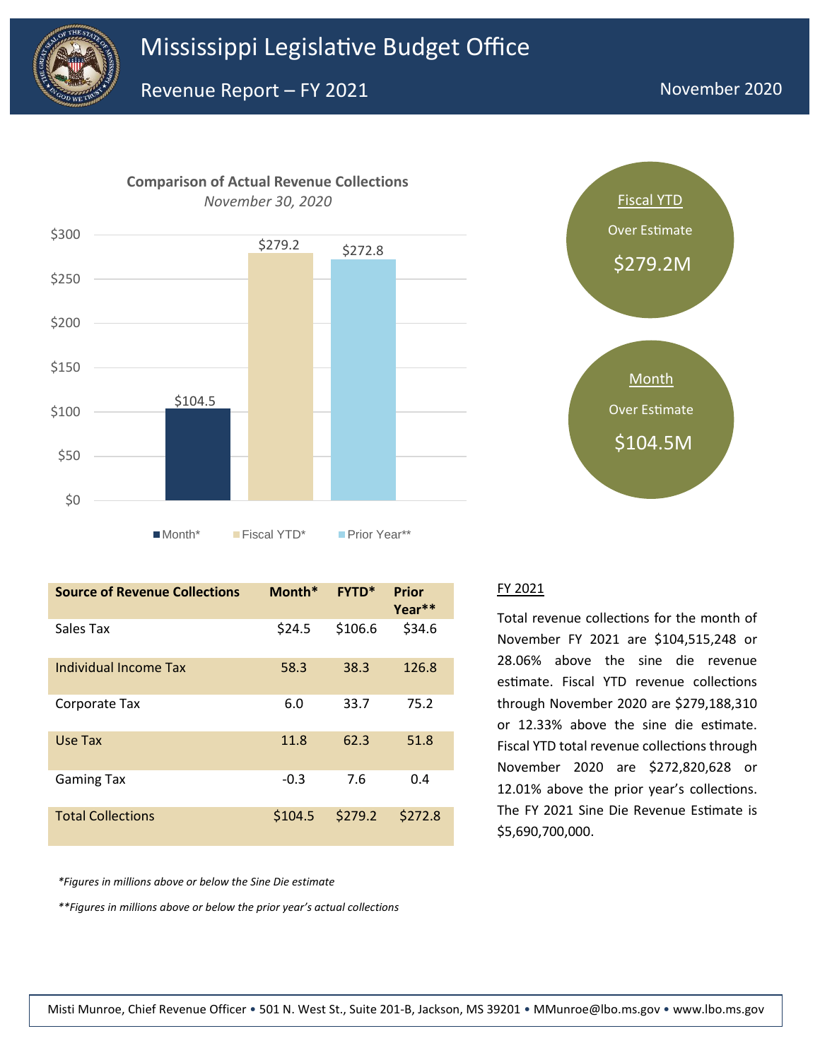



**Source of Revenue Collections Month\* FYTD\* Prior Year\*\*** Sales Tax  $$24.5$  \$106.6 \$34.6 Individual Income Tax 58.3 38.3 126.8 Corporate Tax 6.0 33.7 75.2 Use Tax 11.8 62.3 51.8 Gaming Tax  $-0.3$  7.6 0.4 Total Collections \$104.5 \$279.2 \$272.8

*\*Figures in millions above or below the Sine Die estimate*

*\*\*Figures in millions above or below the prior year's actual collections*



#### FY 2021

Total revenue collections for the month of November FY 2021 are \$104,515,248 or 28.06% above the sine die revenue estimate. Fiscal YTD revenue collections through November 2020 are \$279,188,310 or 12.33% above the sine die estimate. Fiscal YTD total revenue collections through November 2020 are \$272,820,628 or 12.01% above the prior year's collections. The FY 2021 Sine Die Revenue Estimate is \$5,690,700,000.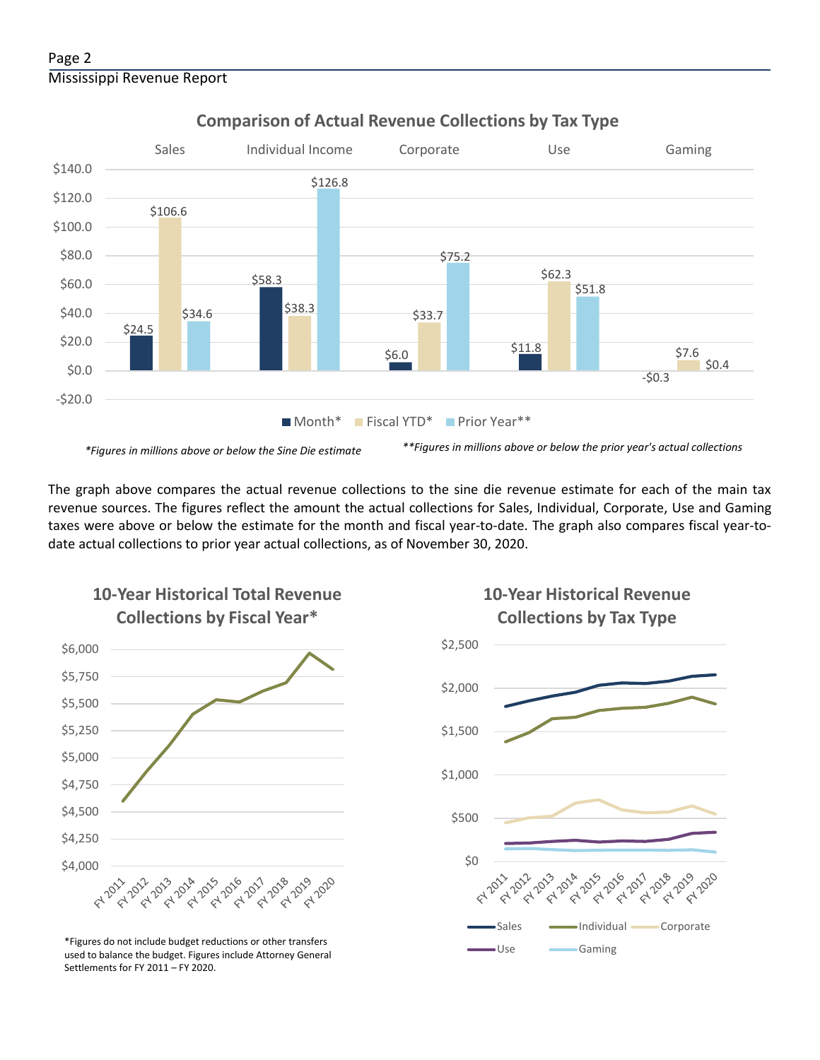

## **Comparison of Actual Revenue Collections by Tax Type**

The graph above compares the actual revenue collections to the sine die revenue estimate for each of the main tax revenue sources. The figures reflect the amount the actual collections for Sales, Individual, Corporate, Use and Gaming taxes were above or below the estimate for the month and fiscal year-to-date. The graph also compares fiscal year-todate actual collections to prior year actual collections, as of November 30, 2020.



**10-Year Historical Total Revenue** 

Use Gaming \*Figures do not include budget reductions or other transfers used to balance the budget. Figures include Attorney General Settlements for FY 2011 – FY 2020.

## **10-Year Historical Revenue Collections by Tax Type**

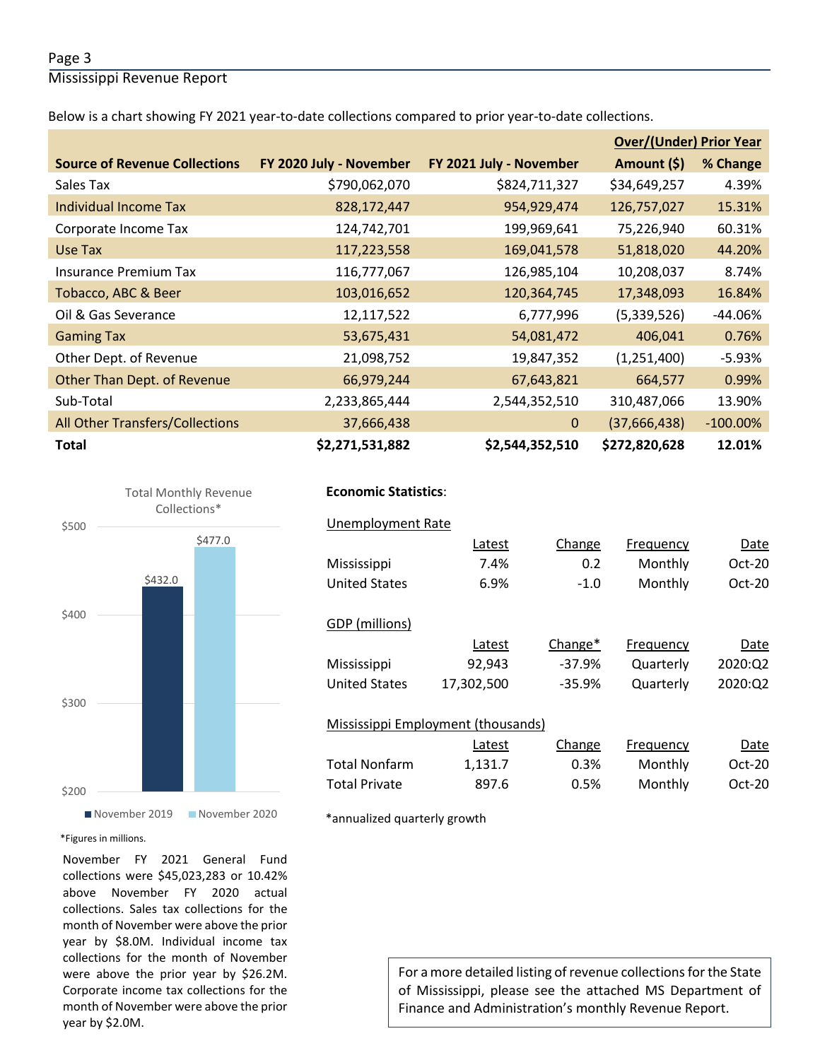#### Page 3

Mississippi Revenue Report

Below is a chart showing FY 2021 year-to-date collections compared to prior year-to-date collections.

|                                      |                         |                         | <b>Over/(Under) Prior Year</b> |             |  |
|--------------------------------------|-------------------------|-------------------------|--------------------------------|-------------|--|
| <b>Source of Revenue Collections</b> | FY 2020 July - November | FY 2021 July - November | Amount (\$)                    | % Change    |  |
| Sales Tax                            | \$790,062,070           | \$824,711,327           | \$34,649,257                   | 4.39%       |  |
| <b>Individual Income Tax</b>         | 828,172,447             | 954,929,474             | 126,757,027                    | 15.31%      |  |
| Corporate Income Tax                 | 124,742,701             | 199,969,641             | 75,226,940                     | 60.31%      |  |
| Use Tax                              | 117,223,558             | 169,041,578             | 51,818,020                     | 44.20%      |  |
| <b>Insurance Premium Tax</b>         | 116,777,067             | 126,985,104             | 10,208,037                     | 8.74%       |  |
| Tobacco, ABC & Beer                  | 103,016,652             | 120,364,745             | 17,348,093                     | 16.84%      |  |
| Oil & Gas Severance                  | 12,117,522              | 6,777,996               | (5,339,526)                    | $-44.06%$   |  |
| <b>Gaming Tax</b>                    | 53,675,431              | 54,081,472              | 406,041                        | 0.76%       |  |
| Other Dept. of Revenue               | 21,098,752              | 19,847,352              | (1,251,400)                    | $-5.93%$    |  |
| Other Than Dept. of Revenue          | 66,979,244              | 67,643,821              | 664,577                        | 0.99%       |  |
| Sub-Total                            | 2,233,865,444           | 2,544,352,510           | 310,487,066                    | 13.90%      |  |
| All Other Transfers/Collections      | 37,666,438              | $\Omega$                | (37,666,438)                   | $-100.00\%$ |  |
| <b>Total</b>                         | \$2,271,531,882         | \$2,544,352,510         | \$272,820,628                  | 12.01%      |  |



### **Economic Statistics**:  **Economic Statistics**:

## Unemployment Rate Unemployment Rate

|                                    | Latest     | Change   | Frequency | Date     |  |  |  |  |
|------------------------------------|------------|----------|-----------|----------|--|--|--|--|
| Mississippi                        | 7.4%       | 0.2      | Monthly   | $Oct-20$ |  |  |  |  |
| <b>United States</b>               | 6.9%       | $-1.0$   | Monthly   | $Oct-20$ |  |  |  |  |
|                                    |            |          |           |          |  |  |  |  |
| GDP (millions)                     |            |          |           |          |  |  |  |  |
|                                    | Latest     | Change*  | Frequency | Date     |  |  |  |  |
| Mississippi                        | 92,943     | $-37.9%$ | Quarterly | 2020:02  |  |  |  |  |
| <b>United States</b>               | 17,302,500 | $-35.9%$ | Quarterly | 2020:Q2  |  |  |  |  |
|                                    |            |          |           |          |  |  |  |  |
| Mississippi Employment (thousands) |            |          |           |          |  |  |  |  |
|                                    | Latest     | Change   | Frequency | Date     |  |  |  |  |
| <b>Total Nonfarm</b>               | 1,131.7    | 0.3%     | Monthly   | $Oct-20$ |  |  |  |  |
| <b>Total Private</b>               | 897.6      | 0.5%     | Monthly   | $Oct-20$ |  |  |  |  |

\*annualized quarterly growth

#### \*Figures in millions.

November FY 2021 General Fund collections were \$45,023,283 or 10.42% above November FY 2020 actual collections. Sales tax collections for the month of November were above the prior year by \$8.0M. Individual income tax collections for the month of November were above the prior year by \$26.2M. Corporate income tax collections for the month of November were above the prior year by \$2.0M.

For a more detailed listing of revenue collections for the State of Mississippi, please see the attached MS Department of Finance and Administration's monthly Revenue Report.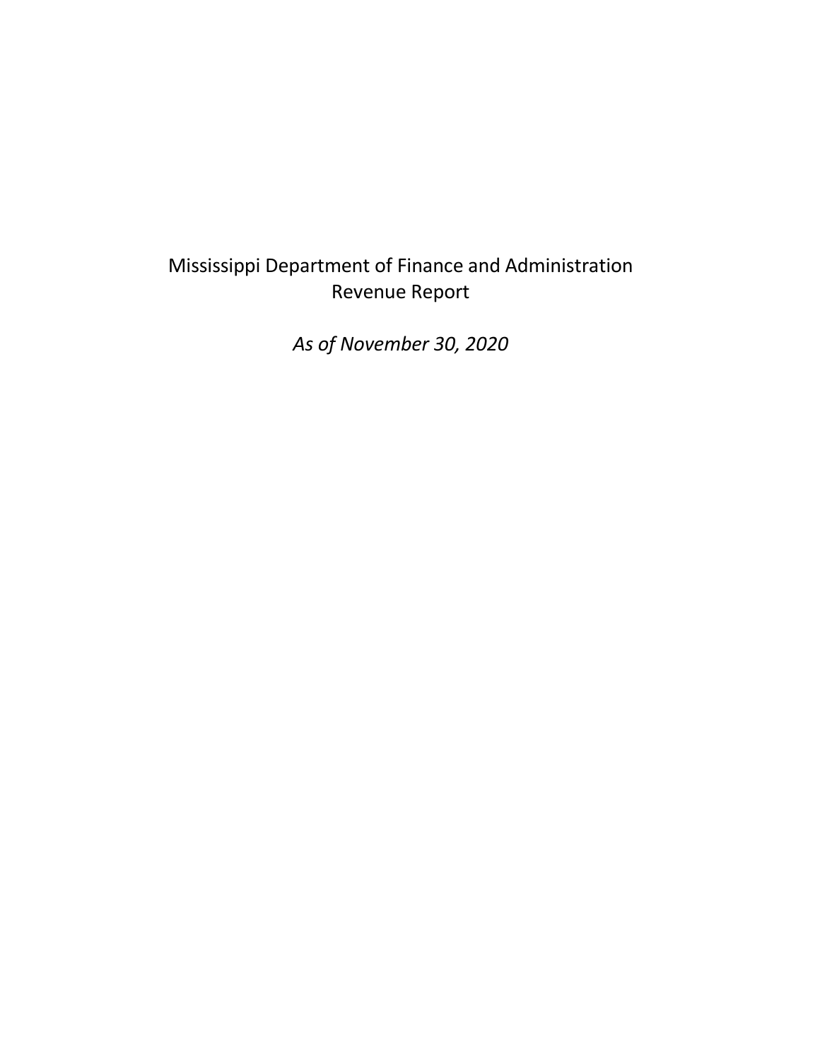## Mississippi Department of Finance and Administration Revenue Report

*As of November 30, 2020*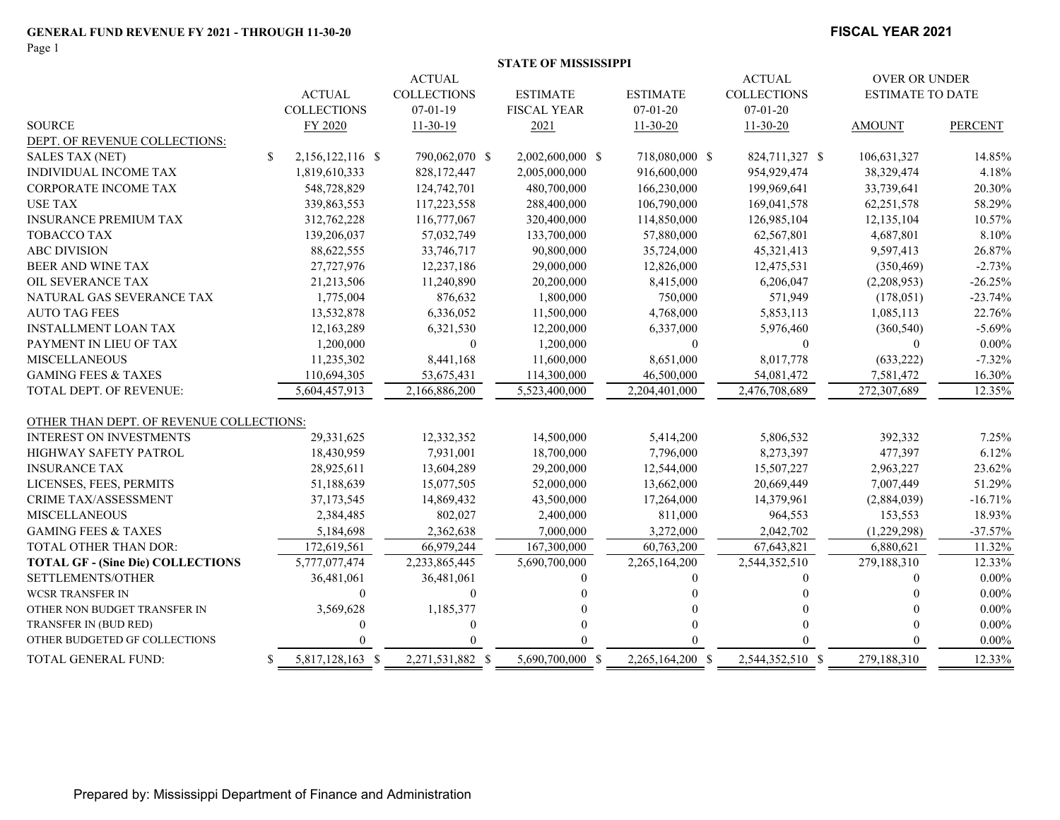Page 1

#### **FISCAL YEAR 2021**

|                                          |                                  | <b>ACTUAL</b>      |                    | <b>ACTUAL</b>    | OVER OR UNDER      |                         |                |
|------------------------------------------|----------------------------------|--------------------|--------------------|------------------|--------------------|-------------------------|----------------|
|                                          | <b>ACTUAL</b>                    | <b>COLLECTIONS</b> | <b>ESTIMATE</b>    | <b>ESTIMATE</b>  | <b>COLLECTIONS</b> | <b>ESTIMATE TO DATE</b> |                |
|                                          | <b>COLLECTIONS</b>               | $07-01-19$         | <b>FISCAL YEAR</b> | $07 - 01 - 20$   | $07 - 01 - 20$     |                         |                |
| <b>SOURCE</b>                            | <b>FY 2020</b>                   | $11 - 30 - 19$     | 2021               | $11 - 30 - 20$   | $11 - 30 - 20$     | <b>AMOUNT</b>           | <b>PERCENT</b> |
| DEPT. OF REVENUE COLLECTIONS:            |                                  |                    |                    |                  |                    |                         |                |
| <b>SALES TAX (NET)</b>                   | $\mathbb{S}$<br>2,156,122,116 \$ | 790,062,070 \$     | 2,002,600,000 \$   | 718,080,000 \$   | 824,711,327 \$     | 106,631,327             | 14.85%         |
| INDIVIDUAL INCOME TAX                    | 1,819,610,333                    | 828,172,447        | 2,005,000,000      | 916,600,000      | 954,929,474        | 38,329,474              | 4.18%          |
| CORPORATE INCOME TAX                     | 548,728,829                      | 124,742,701        | 480,700,000        | 166,230,000      | 199,969,641        | 33,739,641              | 20.30%         |
| <b>USE TAX</b>                           | 339,863,553                      | 117,223,558        | 288,400,000        | 106,790,000      | 169,041,578        | 62, 251, 578            | 58.29%         |
| <b>INSURANCE PREMIUM TAX</b>             | 312,762,228                      | 116,777,067        | 320,400,000        | 114,850,000      | 126,985,104        | 12,135,104              | 10.57%         |
| TOBACCO TAX                              | 139,206,037                      | 57,032,749         | 133,700,000        | 57,880,000       | 62,567,801         | 4,687,801               | 8.10%          |
| <b>ABC DIVISION</b>                      | 88,622,555                       | 33,746,717         | 90,800,000         | 35,724,000       | 45,321,413         | 9,597,413               | 26.87%         |
| BEER AND WINE TAX                        | 27,727,976                       | 12,237,186         | 29,000,000         | 12,826,000       | 12,475,531         | (350, 469)              | $-2.73%$       |
| OIL SEVERANCE TAX                        | 21,213,506                       | 11,240,890         | 20,200,000         | 8,415,000        | 6,206,047          | (2,208,953)             | $-26.25%$      |
| NATURAL GAS SEVERANCE TAX                | 1,775,004                        | 876,632            | 1,800,000          | 750,000          | 571,949            | (178,051)               | $-23.74%$      |
| <b>AUTO TAG FEES</b>                     | 13,532,878                       | 6,336,052          | 11,500,000         | 4,768,000        | 5,853,113          | 1,085,113               | 22.76%         |
| <b>INSTALLMENT LOAN TAX</b>              | 12,163,289                       | 6,321,530          | 12,200,000         | 6,337,000        | 5,976,460          | (360, 540)              | $-5.69%$       |
| PAYMENT IN LIEU OF TAX                   | 1,200,000                        | $\mathbf{0}$       | 1,200,000          | $\Omega$         | $\overline{0}$     | $\theta$                | $0.00\%$       |
| <b>MISCELLANEOUS</b>                     | 11,235,302                       | 8,441,168          | 11,600,000         | 8,651,000        | 8,017,778          | (633, 222)              | $-7.32%$       |
| <b>GAMING FEES &amp; TAXES</b>           | 110,694,305                      | 53,675,431         | 114,300,000        | 46,500,000       | 54,081,472         | 7,581,472               | 16.30%         |
| TOTAL DEPT. OF REVENUE:                  | 5,604,457,913                    | 2,166,886,200      | 5,523,400,000      | 2,204,401,000    | 2,476,708,689      | 272,307,689             | 12.35%         |
| OTHER THAN DEPT. OF REVENUE COLLECTIONS: |                                  |                    |                    |                  |                    |                         |                |
| <b>INTEREST ON INVESTMENTS</b>           | 29,331,625                       | 12,332,352         | 14,500,000         | 5,414,200        | 5,806,532          | 392,332                 | 7.25%          |
| HIGHWAY SAFETY PATROL                    | 18,430,959                       | 7,931,001          | 18,700,000         | 7,796,000        | 8,273,397          | 477,397                 | 6.12%          |
| <b>INSURANCE TAX</b>                     | 28,925,611                       | 13,604,289         | 29,200,000         | 12,544,000       | 15,507,227         | 2,963,227               | 23.62%         |
| LICENSES, FEES, PERMITS                  | 51,188,639                       | 15,077,505         | 52,000,000         | 13,662,000       | 20,669,449         | 7,007,449               | 51.29%         |
| <b>CRIME TAX/ASSESSMENT</b>              | 37,173,545                       | 14,869,432         | 43,500,000         | 17,264,000       | 14,379,961         | (2,884,039)             | $-16.71%$      |
| <b>MISCELLANEOUS</b>                     | 2,384,485                        | 802,027            | 2,400,000          | 811,000          | 964,553            | 153,553                 | 18.93%         |
| <b>GAMING FEES &amp; TAXES</b>           | 5,184,698                        | 2,362,638          | 7,000,000          | 3,272,000        | 2,042,702          | (1,229,298)             | $-37.57%$      |
| TOTAL OTHER THAN DOR:                    | 172,619,561                      | 66,979,244         | 167,300,000        | 60,763,200       | 67,643,821         | 6,880,621               | 11.32%         |
| <b>TOTAL GF - (Sine Die) COLLECTIONS</b> | 5,777,077,474                    | 2,233,865,445      | 5,690,700,000      | 2,265,164,200    | 2,544,352,510      | 279,188,310             | 12.33%         |
| SETTLEMENTS/OTHER                        | 36,481,061                       | 36,481,061         |                    | ∩                | 0                  | $\theta$                | $0.00\%$       |
| <b>WCSR TRANSFER IN</b>                  | $\theta$                         | $\theta$           |                    |                  |                    |                         | $0.00\%$       |
| OTHER NON BUDGET TRANSFER IN             | 3,569,628                        | 1,185,377          |                    |                  |                    |                         | $0.00\%$       |
| TRANSFER IN (BUD RED)                    | $\Omega$                         | 0                  |                    |                  |                    |                         | $0.00\%$       |
| OTHER BUDGETED GF COLLECTIONS            |                                  |                    |                    |                  |                    | $\theta$                | $0.00\%$       |
| TOTAL GENERAL FUND:                      | 5,817,128,163 \$<br>-S           | 2,271,531,882 \$   | 5,690,700,000 \$   | 2,265,164,200 \$ | 2,544,352,510 \$   | 279,188,310             | 12.33%         |
|                                          |                                  |                    |                    |                  |                    |                         |                |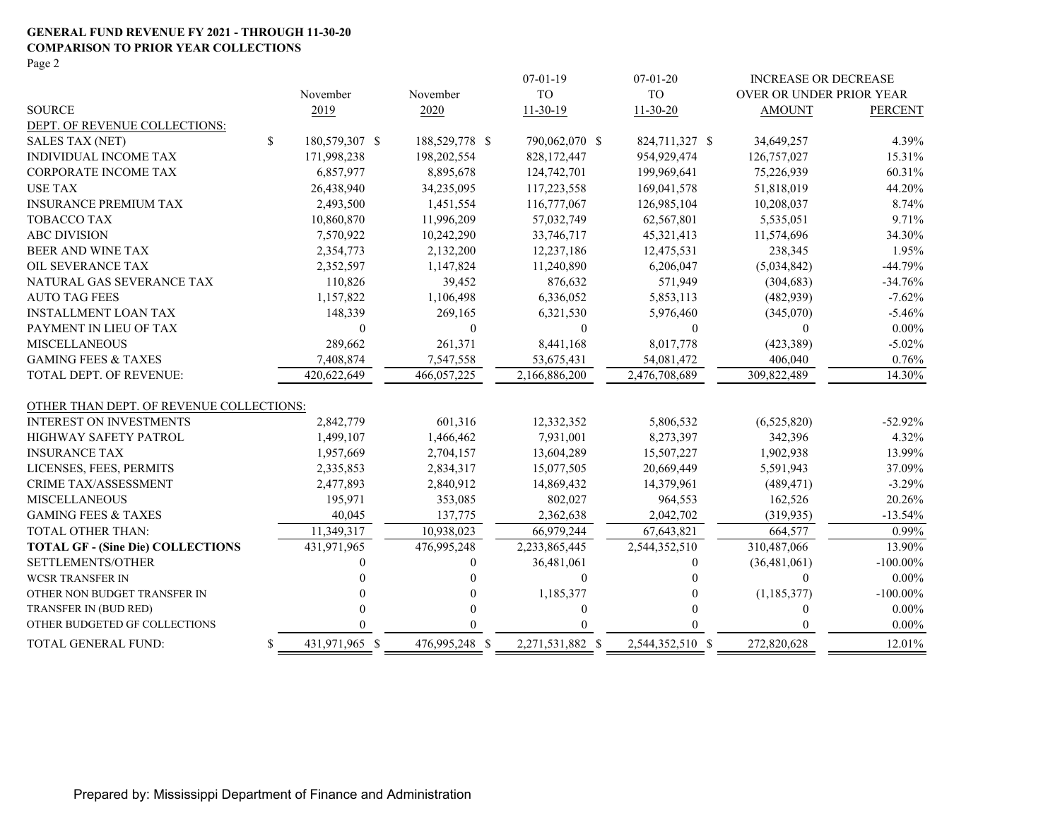#### **GENERAL FUND REVENUE FY 2021 - THROUGH 11-30-20 COMPARISON TO PRIOR YEAR COLLECTIONS** Page 2

|                                          |    |                |                | $07-01-19$       | $07-01-20$       | <b>INCREASE OR DECREASE</b> |                |
|------------------------------------------|----|----------------|----------------|------------------|------------------|-----------------------------|----------------|
|                                          |    | November       | November       | <b>TO</b>        | <b>TO</b>        | OVER OR UNDER PRIOR YEAR    |                |
| <b>SOURCE</b>                            |    | 2019           | 2020           | $11-30-19$       | $11-30-20$       | <b>AMOUNT</b>               | <b>PERCENT</b> |
| DEPT. OF REVENUE COLLECTIONS:            |    |                |                |                  |                  |                             |                |
| <b>SALES TAX (NET)</b>                   | \$ | 180,579,307 \$ | 188,529,778 \$ | 790,062,070 \$   | 824,711,327 \$   | 34,649,257                  | 4.39%          |
| INDIVIDUAL INCOME TAX                    |    | 171,998,238    | 198,202,554    | 828,172,447      | 954,929,474      | 126,757,027                 | 15.31%         |
| <b>CORPORATE INCOME TAX</b>              |    | 6,857,977      | 8,895,678      | 124,742,701      | 199,969,641      | 75,226,939                  | 60.31%         |
| <b>USE TAX</b>                           |    | 26,438,940     | 34,235,095     | 117,223,558      | 169,041,578      | 51,818,019                  | 44.20%         |
| <b>INSURANCE PREMIUM TAX</b>             |    | 2,493,500      | 1,451,554      | 116,777,067      | 126,985,104      | 10,208,037                  | 8.74%          |
| <b>TOBACCO TAX</b>                       |    | 10,860,870     | 11,996,209     | 57,032,749       | 62,567,801       | 5,535,051                   | 9.71%          |
| <b>ABC DIVISION</b>                      |    | 7,570,922      | 10,242,290     | 33,746,717       | 45,321,413       | 11,574,696                  | 34.30%         |
| BEER AND WINE TAX                        |    | 2,354,773      | 2,132,200      | 12,237,186       | 12,475,531       | 238,345                     | 1.95%          |
| OIL SEVERANCE TAX                        |    | 2,352,597      | 1,147,824      | 11,240,890       | 6,206,047        | (5,034,842)                 | $-44.79%$      |
| NATURAL GAS SEVERANCE TAX                |    | 110,826        | 39,452         | 876,632          | 571,949          | (304, 683)                  | $-34.76%$      |
| <b>AUTO TAG FEES</b>                     |    | 1,157,822      | 1,106,498      | 6,336,052        | 5,853,113        | (482, 939)                  | $-7.62%$       |
| <b>INSTALLMENT LOAN TAX</b>              |    | 148,339        | 269,165        | 6,321,530        | 5,976,460        | (345,070)                   | $-5.46%$       |
| PAYMENT IN LIEU OF TAX                   |    | $\theta$       | $\mathbf{0}$   | $\theta$         | $\theta$         | $\theta$                    | $0.00\%$       |
| <b>MISCELLANEOUS</b>                     |    | 289,662        | 261,371        | 8,441,168        | 8,017,778        | (423,389)                   | $-5.02%$       |
| <b>GAMING FEES &amp; TAXES</b>           |    | 7,408,874      | 7,547,558      | 53,675,431       | 54,081,472       | 406,040                     | 0.76%          |
| TOTAL DEPT. OF REVENUE:                  |    | 420,622,649    | 466,057,225    | 2,166,886,200    | 2,476,708,689    | 309,822,489                 | 14.30%         |
| OTHER THAN DEPT. OF REVENUE COLLECTIONS: |    |                |                |                  |                  |                             |                |
| <b>INTEREST ON INVESTMENTS</b>           |    | 2,842,779      | 601,316        | 12,332,352       | 5,806,532        | (6,525,820)                 | $-52.92%$      |
| HIGHWAY SAFETY PATROL                    |    | 1,499,107      | 1,466,462      | 7,931,001        | 8,273,397        | 342,396                     | 4.32%          |
| <b>INSURANCE TAX</b>                     |    | 1,957,669      | 2,704,157      | 13,604,289       | 15,507,227       | 1,902,938                   | 13.99%         |
| LICENSES, FEES, PERMITS                  |    | 2,335,853      | 2,834,317      | 15,077,505       | 20,669,449       | 5,591,943                   | 37.09%         |
| CRIME TAX/ASSESSMENT                     |    | 2,477,893      | 2,840,912      | 14,869,432       | 14,379,961       | (489, 471)                  | $-3.29%$       |
| <b>MISCELLANEOUS</b>                     |    | 195,971        | 353,085        | 802,027          | 964,553          | 162,526                     | 20.26%         |
| <b>GAMING FEES &amp; TAXES</b>           |    | 40,045         | 137,775        | 2,362,638        | 2,042,702        | (319, 935)                  | $-13.54%$      |
| <b>TOTAL OTHER THAN:</b>                 |    | 11,349,317     | 10,938,023     | 66,979,244       | 67,643,821       | 664,577                     | 0.99%          |
| <b>TOTAL GF - (Sine Die) COLLECTIONS</b> |    | 431,971,965    | 476,995,248    | 2,233,865,445    | 2,544,352,510    | 310,487,066                 | 13.90%         |
| SETTLEMENTS/OTHER                        |    |                | $\overline{0}$ | 36,481,061       | 0                | (36, 481, 061)              | $-100.00\%$    |
| <b>WCSR TRANSFER IN</b>                  |    |                | $\Omega$       | $\theta$         | 0                | $\Omega$                    | $0.00\%$       |
| OTHER NON BUDGET TRANSFER IN             |    |                | $\Omega$       | 1,185,377        | 0                | (1, 185, 377)               | $-100.00\%$    |
| TRANSFER IN (BUD RED)                    |    |                | $\Omega$       | $\theta$         | $\Omega$         | $\Omega$                    | $0.00\%$       |
| OTHER BUDGETED GF COLLECTIONS            |    |                |                |                  |                  |                             | $0.00\%$       |
| TOTAL GENERAL FUND:                      | \$ | 431,971,965 \$ | 476,995,248 \$ | 2,271,531,882 \$ | 2,544,352,510 \$ | 272,820,628                 | 12.01%         |